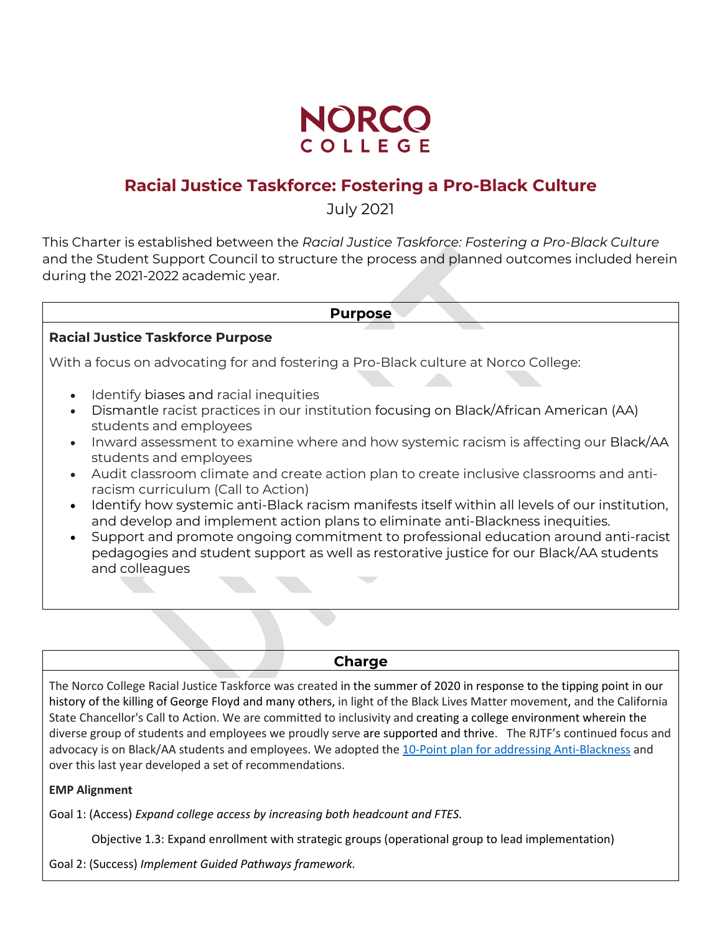

# **Racial Justice Taskforce: Fostering a Pro-Black Culture**

July 2021

This Charter is established between the *Racial Justice Taskforce: Fostering a Pro-Black Culture* and the Student Support Council to structure the process and planned outcomes included herein during the 2021-2022 academic year.

#### **Purpose**

#### **Racial Justice Taskforce Purpose**

With a focus on advocating for and fostering a Pro-Black culture at Norco College:

- Identify biases and racial inequities
- Dismantle racist practices in our institution focusing on Black/African American (AA) students and employees
- Inward assessment to examine where and how systemic racism is affecting our Black/AA students and employees
- Audit classroom climate and create action plan to create inclusive classrooms and antiracism curriculum (Call to Action)
- Identify how systemic anti-Black racism manifests itself within all levels of our institution, and develop and implement action plans to eliminate anti-Blackness inequities.
- Support and promote ongoing commitment to professional education around anti-racist pedagogies and student support as well as restorative justice for our Black/AA students and colleagues

#### **Charge**

The Norco College Racial Justice Taskforce was created in the summer of 2020 in response to the tipping point in our history of the killing of George Floyd and many others, in light of the Black Lives Matter movement, and the California State Chancellor's Call to Action. We are committed to inclusivity and creating a college environment wherein the diverse group of students and employees we proudly serve are supported and thrive. The RJTF's continued focus and advocacy is on Black/AA students and employees. We adopted the [10-Point plan for addressing Anti-Blackness](https://www.norcocollege.edu/about/Documents/racial-justice/10-Point-Plan-to-Address-Anti-Blackness.pdf) and over this last year developed a set of recommendations.

#### **EMP Alignment**

Goal 1: (Access) *Expand college access by increasing both headcount and FTES.*

Objective 1.3: Expand enrollment with strategic groups (operational group to lead implementation)

Goal 2: (Success) *Implement Guided Pathways framework.*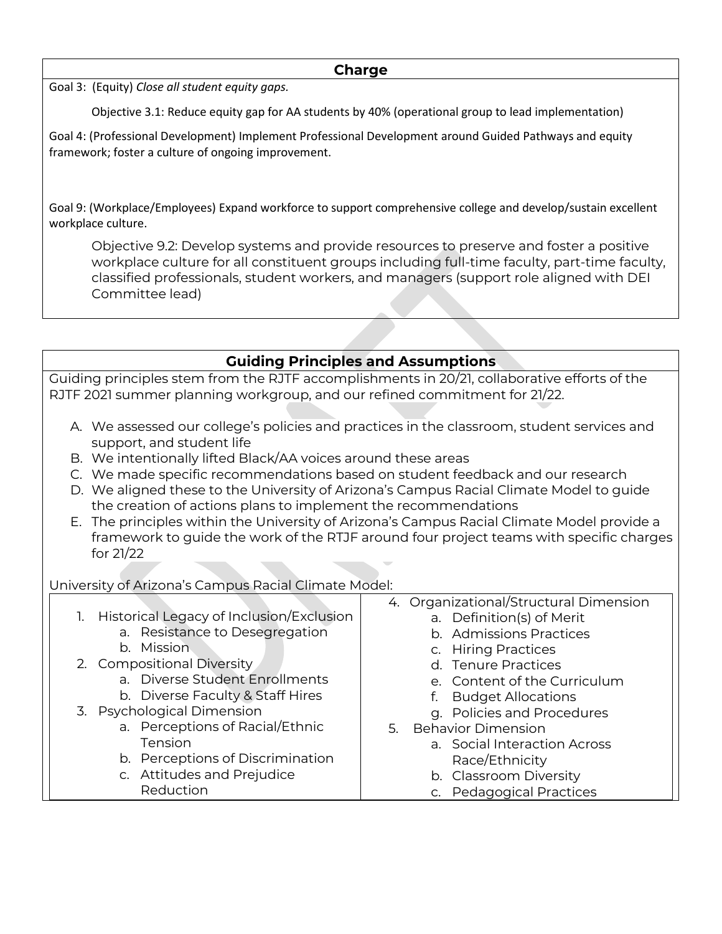#### **Charge**

Goal 3: (Equity) *Close all student equity gaps.*

Objective 3.1: Reduce equity gap for AA students by 40% (operational group to lead implementation)

Goal 4: (Professional Development) Implement Professional Development around Guided Pathways and equity framework; foster a culture of ongoing improvement.

Goal 9: (Workplace/Employees) Expand workforce to support comprehensive college and develop/sustain excellent workplace culture.

Objective 9.2: Develop systems and provide resources to preserve and foster a positive workplace culture for all constituent groups including full-time faculty, part-time faculty, classified professionals, student workers, and managers (support role aligned with DEI Committee lead)

## **Guiding Principles and Assumptions**

Guiding principles stem from the RJTF accomplishments in 20/21, collaborative efforts of the RJTF 2021 summer planning workgroup, and our refined commitment for 21/22.

- A. We assessed our college's policies and practices in the classroom, student services and support, and student life
- B. We intentionally lifted Black/AA voices around these areas
- C. We made specific recommendations based on student feedback and our research
- D. We aligned these to the University of Arizona's Campus Racial Climate Model to guide the creation of actions plans to implement the recommendations
- E. The principles within the University of Arizona's Campus Racial Climate Model provide a framework to guide the work of the RTJF around four project teams with specific charges for 21/22

University of Arizona's Campus Racial Climate Model:

1. Historical Legacy of Inclusion/Exclusion a. Resistance to Desegregation b. Mission 2. Compositional Diversity a. Diverse Student Enrollments b. Diverse Faculty & Staff Hires 3. Psychological Dimension a. Perceptions of Racial/Ethnic Tension b. Perceptions of Discrimination c. Attitudes and Prejudice Reduction 4. Organizational/Structural Dimension a. Definition(s) of Merit b. Admissions Practices c. Hiring Practices d. Tenure Practices e. Content of the Curriculum f. Budget Allocations g. Policies and Procedures 5. Behavior Dimension a. Social Interaction Across Race/Ethnicity b. Classroom Diversity c. Pedagogical Practices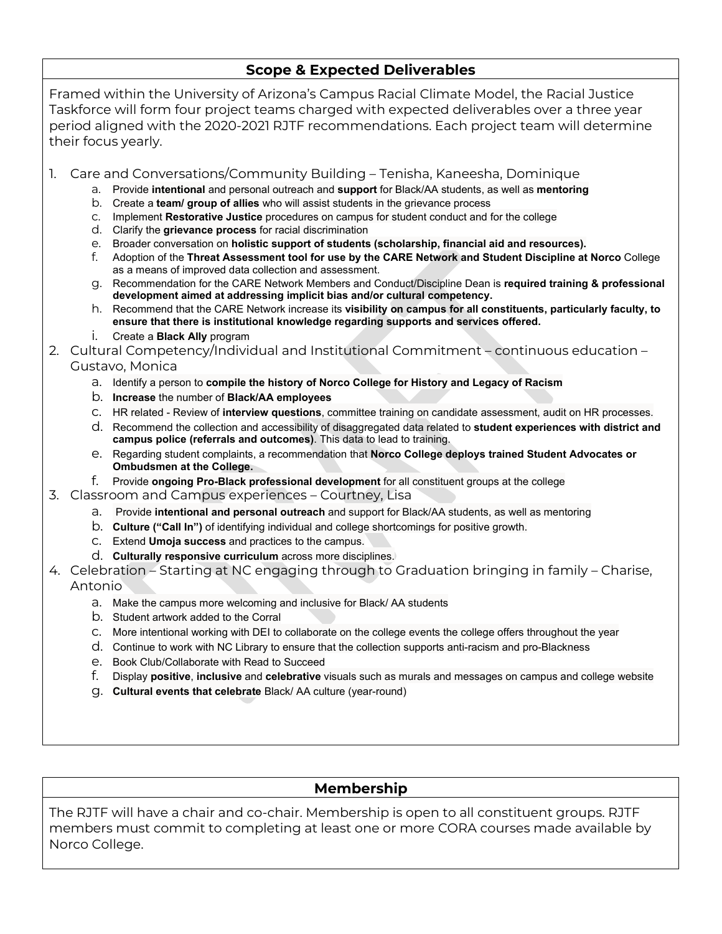### **Scope & Expected Deliverables**

Framed within the University of Arizona's Campus Racial Climate Model, the Racial Justice Taskforce will form four project teams charged with expected deliverables over a three year period aligned with the 2020-2021 RJTF recommendations. Each project team will determine their focus yearly.

1. Care and Conversations/Community Building – Tenisha, Kaneesha, Dominique

- a. Provide **intentional** and personal outreach and **support** for Black/AA students, as well as **mentoring**
- b. Create a **team/ group of allies** who will assist students in the grievance process
- c. Implement **Restorative Justice** procedures on campus for student conduct and for the college
- d. Clarify the **grievance process** for racial discrimination
- e. Broader conversation on **holistic support of students (scholarship, financial aid and resources).**
- f. Adoption of the **Threat Assessment tool for use by the CARE Network and Student Discipline at Norco** College as a means of improved data collection and assessment.
- g. Recommendation for the CARE Network Members and Conduct/Discipline Dean is **required training & professional development aimed at addressing implicit bias and/or cultural competency.**
- h. Recommend that the CARE Network increase its **visibility on campus for all constituents, particularly faculty, to ensure that there is institutional knowledge regarding supports and services offered.**
- i. Create a **Black Ally** program

2. Cultural Competency/Individual and Institutional Commitment – continuous education – Gustavo, Monica

- a. Identify a person to **compile the history of Norco College for History and Legacy of Racism**
- b. **Increase** the number of **Black/AA employees**
- c. HR related Review of **interview questions**, committee training on candidate assessment, audit on HR processes.
- d. Recommend the collection and accessibility of disaggregated data related to **student experiences with district and campus police (referrals and outcomes)**. This data to lead to training.
- e. Regarding student complaints, a recommendation that **Norco College deploys trained Student Advocates or Ombudsmen at the College.**
- f. Provide **ongoing Pro-Black professional development** for all constituent groups at the college
- 3. Classroom and Campus experiences Courtney, Lisa
	- a. Provide **intentional and personal outreach** and support for Black/AA students, as well as mentoring
	- b. **Culture ("Call In")** of identifying individual and college shortcomings for positive growth.
	- c. Extend **Umoja success** and practices to the campus.
	- d. **Culturally responsive curriculum** across more disciplines.

#### 4. Celebration – Starting at NC engaging through to Graduation bringing in family – Charise, Antonio

- a. Make the campus more welcoming and inclusive for Black/ AA students
- b. Student artwork added to the Corral
- c. More intentional working with DEI to collaborate on the college events the college offers throughout the year
- d. Continue to work with NC Library to ensure that the collection supports anti-racism and pro-Blackness
- e. Book Club/Collaborate with Read to Succeed
- f. Display **positive**, **inclusive** and **celebrative** visuals such as murals and messages on campus and college website
- g. **Cultural events that celebrate** Black/ AA culture (year-round)

### **Membership**

The RJTF will have a chair and co-chair. Membership is open to all constituent groups. RJTF members must commit to completing at least one or more CORA courses made available by Norco College.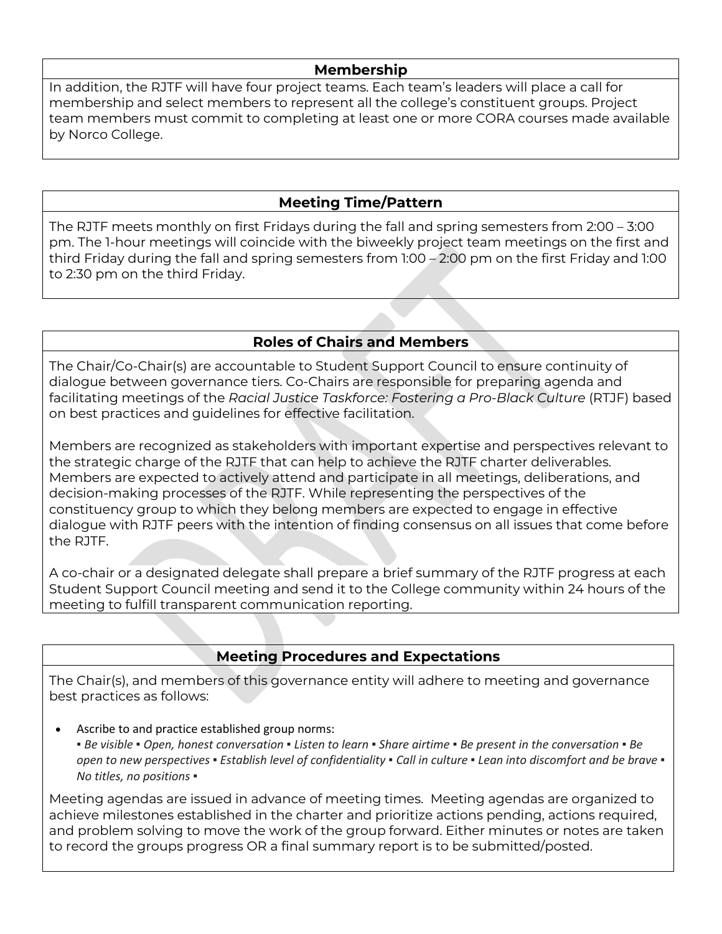#### **Membership**

In addition, the RJTF will have four project teams. Each team's leaders will place a call for membership and select members to represent all the college's constituent groups. Project team members must commit to completing at least one or more CORA courses made available by Norco College.

## **Meeting Time/Pattern**

The RJTF meets monthly on first Fridays during the fall and spring semesters from 2:00 – 3:00 pm. The 1-hour meetings will coincide with the biweekly project team meetings on the first and third Friday during the fall and spring semesters from 1:00 – 2:00 pm on the first Friday and 1:00 to 2:30 pm on the third Friday.

## **Roles of Chairs and Members**

The Chair/Co-Chair(s) are accountable to Student Support Council to ensure continuity of dialogue between governance tiers. Co-Chairs are responsible for preparing agenda and facilitating meetings of the *Racial Justice Taskforce: Fostering a Pro-Black Culture* (RTJF) based on best practices and guidelines for effective facilitation.

Members are recognized as stakeholders with important expertise and perspectives relevant to the strategic charge of the RJTF that can help to achieve the RJTF charter deliverables. Members are expected to actively attend and participate in all meetings, deliberations, and decision-making processes of the RJTF. While representing the perspectives of the constituency group to which they belong members are expected to engage in effective dialogue with RJTF peers with the intention of finding consensus on all issues that come before the RJTF.

A co-chair or a designated delegate shall prepare a brief summary of the RJTF progress at each Student Support Council meeting and send it to the College community within 24 hours of the meeting to fulfill transparent communication reporting.

## **Meeting Procedures and Expectations**

The Chair(s), and members of this governance entity will adhere to meeting and governance best practices as follows:

Ascribe to and practice established group norms:

*▪ Be visible ▪ Open, honest conversation ▪ Listen to learn ▪ Share airtime ▪ Be present in the conversation ▪ Be open to new perspectives ▪ Establish level of confidentiality ▪ Call in culture ▪ Lean into discomfort and be brave ▪ No titles, no positions ▪*

Meeting agendas are issued in advance of meeting times. Meeting agendas are organized to achieve milestones established in the charter and prioritize actions pending, actions required, and problem solving to move the work of the group forward. Either minutes or notes are taken to record the groups progress OR a final summary report is to be submitted/posted.